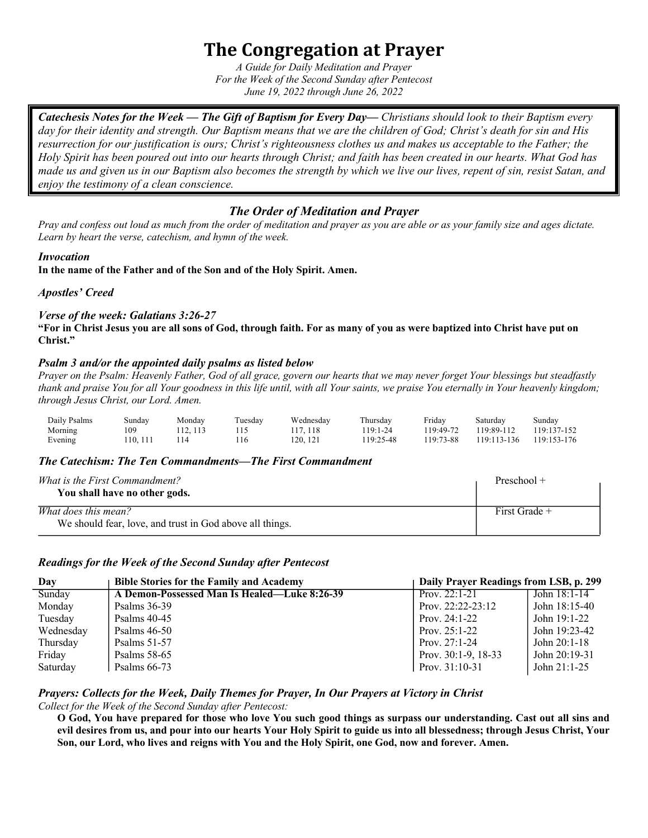# **The Congregation at Prayer**

*A Guide for Daily Meditation and Prayer For the Week of the Second Sunday after Pentecost June 19, 2022 through June 26, 2022*

*Catechesis Notes for the Week — The Gift of Baptism for Every Day— Christians should look to their Baptism every day for their identity and strength. Our Baptism means that we are the children of God; Christ's death for sin and His resurrection for our justification is ours; Christ's righteousness clothes us and makes us acceptable to the Father; the Holy Spirit has been poured out into our hearts through Christ; and faith has been created in our hearts. What God has made us and given us in our Baptism also becomes the strength by which we live our lives, repent of sin, resist Satan, and enjoy the testimony of a clean conscience.* 

# *The Order of Meditation and Prayer*

*Pray and confess out loud as much from the order of meditation and prayer as you are able or as your family size and ages dictate. Learn by heart the verse, catechism, and hymn of the week.*

#### *Invocation*

**In the name of the Father and of the Son and of the Holy Spirit. Amen.**

*Apostles' Creed*

#### *Verse of the week: Galatians 3:26-27*

**"For in Christ Jesus you are all sons of God, through faith. For as many of you as were baptized into Christ have put on Christ."** 

#### *Psalm 3 and/or the appointed daily psalms as listed below*

*Prayer on the Psalm: Heavenly Father, God of all grace, govern our hearts that we may never forget Your blessings but steadfastly thank and praise You for all Your goodness in this life until, with all Your saints, we praise You eternally in Your heavenly kingdom; through Jesus Christ, our Lord. Amen.*

| Daily Psalms | Sunday  | Monday | Tuesday | Wednesday | Thursday  | Friday    | Saturday    | Sunday      |
|--------------|---------|--------|---------|-----------|-----------|-----------|-------------|-------------|
| Morning      | .09     | 12.113 |         | 17, 118   | $19:1-24$ | 119:49-72 | 119:89-112  | 119:137-152 |
| Evening      | 10, 111 |        | 116     | 120.121   | 19:25-48  | 119:73-88 | 119:113-136 | 119:153-176 |

#### *The Catechism: The Ten Commandments—The First Commandment*

| <i>What is the First Commandment?</i><br>You shall have no other gods.           | Preschool $+$ |
|----------------------------------------------------------------------------------|---------------|
| What does this mean?<br>We should fear, love, and trust in God above all things. | First Grade + |

#### *Readings for the Week of the Second Sunday after Pentecost*

| Day       | <b>Bible Stories for the Family and Academy</b> | Daily Prayer Readings from LSB, p. 299 |                |
|-----------|-------------------------------------------------|----------------------------------------|----------------|
| Sunday    | A Demon-Possessed Man Is Healed—Luke 8:26-39    | Prov. $22:1-21$                        | John $18:1-14$ |
| Monday    | Psalms $36-39$                                  | Prov. $22:22-23:12$                    | John 18:15-40  |
| Tuesday   | Psalms $40-45$                                  | Prov. $24:1-22$                        | John 19:1-22   |
| Wednesday | Psalms 46-50                                    | Prov. $25:1-22$                        | John 19:23-42  |
| Thursday  | Psalms $51-57$                                  | Prov. $27:1-24$                        | John 20:1-18   |
| Friday    | Psalms $58-65$                                  | Prov. $30:1-9$ , $18-33$               | John 20:19-31  |
| Saturday  | Psalms $66-73$                                  | Prov. $31:10-31$                       | John $21:1-25$ |

## *Prayers: Collects for the Week, Daily Themes for Prayer, In Our Prayers at Victory in Christ*

*Collect for the Week of the Second Sunday after Pentecost:*

**O God, You have prepared for those who love You such good things as surpass our understanding. Cast out all sins and evil desires from us, and pour into our hearts Your Holy Spirit to guide us into all blessedness; through Jesus Christ, Your Son, our Lord, who lives and reigns with You and the Holy Spirit, one God, now and forever. Amen.**